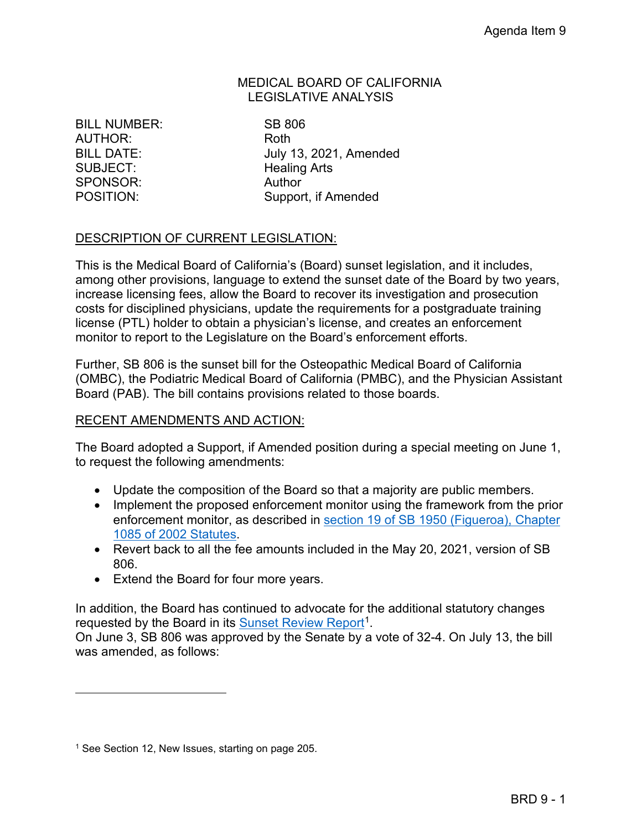#### MEDICAL BOARD OF CALIFORNIA LEGISLATIVE ANALYSIS

POSITION: BILL NUMBER: SB 806 AUTHOR: Roth SUBJECT: Healing Arts SPONSOR: Author

BILL DATE: July 13, 2021, Amended Support, if Amended

### DESCRIPTION OF CURRENT LEGISLATION:

 This is the Medical Board of California's (Board) sunset legislation, and it includes, costs for disciplined physicians, update the requirements for a postgraduate training license (PTL) holder to obtain a physician's license, and creates an enforcement monitor to report to the Legislature on the Board's enforcement efforts. among other provisions, language to extend the sunset date of the Board by two years, increase licensing fees, allow the Board to recover its investigation and prosecution

 Further, SB 806 is the sunset bill for the Osteopathic Medical Board of California (OMBC), the Podiatric Medical Board of California (PMBC), and the Physician Assistant Board (PAB). The bill contains provisions related to those boards.

#### RECENT AMENDMENTS AND ACTION:

The Board adopted a Support, if Amended position during a special meeting on June 1, to request the following amendments:

- Update the composition of the Board so that a majority are public members.
- • Implement the proposed enforcement monitor using the framework from the prior enforcement monitor, as described in [section 19 of SB 1950 \(Figueroa\), Chapter](https://leginfo.legislature.ca.gov/faces/billNavClient.xhtml?bill_id=200120020SB1950)  [1085 of 2002 Statutes.](https://leginfo.legislature.ca.gov/faces/billNavClient.xhtml?bill_id=200120020SB1950)
- Revert back to all the fee amounts included in the May 20, 2021, version of SB 806.
- Extend the Board for four more years.

requested by the Board in its Sunset Review Report<sup>1</sup>. requested by the Board in its <u>Sunset Review Report</u><sup>[1](#page-0-0)</sup>.<br>On June 3, SB 806 was approved by the Senate by a vote of 32-4. On July 13, the bill In addition, the Board has continued to advocate for the additional statutory changes

was amended, as follows:

<span id="page-0-0"></span><sup>&</sup>lt;sup>1</sup> See Section 12, New Issues, starting on page 205.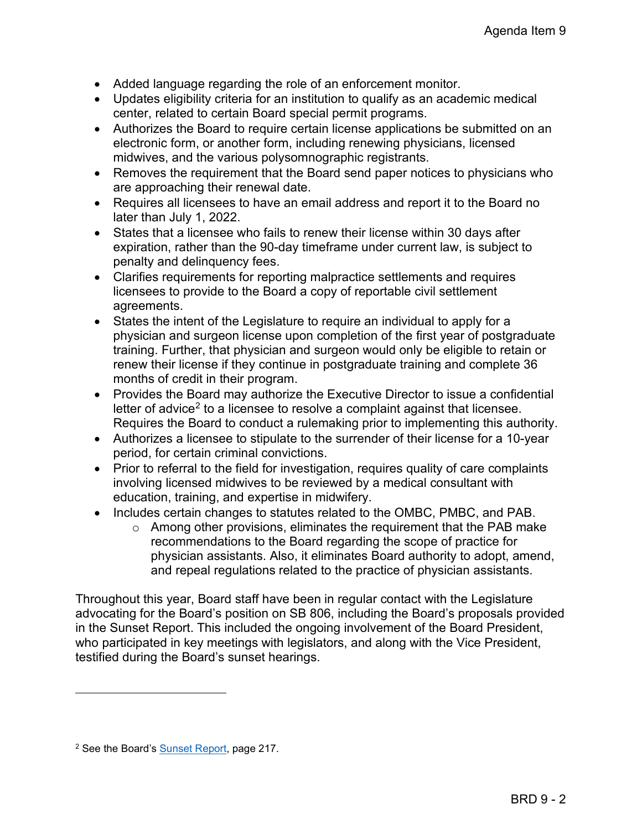- Added language regarding the role of an enforcement monitor.
- Updates eligibility criteria for an institution to qualify as an academic medical center, related to certain Board special permit programs.
- Authorizes the Board to require certain license applications be submitted on an electronic form, or another form, including renewing physicians, licensed midwives, and the various polysomnographic registrants.
- Removes the requirement that the Board send paper notices to physicians who are approaching their renewal date.
- Requires all licensees to have an email address and report it to the Board no later than July 1, 2022.
- expiration, rather than the 90-day timeframe under current law, is subject to • States that a licensee who fails to renew their license within 30 days after penalty and delinquency fees.
- Clarifies requirements for reporting malpractice settlements and requires licensees to provide to the Board a copy of reportable civil settlement agreements.
- • States the intent of the Legislature to require an individual to apply for a physician and surgeon license upon completion of the first year of postgraduate training. Further, that physician and surgeon would only be eligible to retain or renew their license if they continue in postgraduate training and complete 36 months of credit in their program.
- • Provides the Board may authorize the Executive Director to issue a confidential letter of advice<sup>[2](#page-1-0)</sup> to a licensee to resolve a complaint against that licensee. Requires the Board to conduct a rulemaking prior to implementing this authority.
- Authorizes a licensee to stipulate to the surrender of their license for a 10-year period, for certain criminal convictions.
- Prior to referral to the field for investigation, requires quality of care complaints involving licensed midwives to be reviewed by a medical consultant with education, training, and expertise in midwifery.
- Includes certain changes to statutes related to the OMBC, PMBC, and PAB.
	- recommendations to the Board regarding the scope of practice for  $\circ$  Among other provisions, eliminates the requirement that the PAB make physician assistants. Also, it eliminates Board authority to adopt, amend, and repeal regulations related to the practice of physician assistants.

Throughout this year, Board staff have been in regular contact with the Legislature advocating for the Board's position on SB 806, including the Board's proposals provided in the Sunset Report. This included the ongoing involvement of the Board President, who participated in key meetings with legislators, and along with the Vice President, testified during the Board's sunset hearings.

<span id="page-1-0"></span><sup>&</sup>lt;sup>2</sup> See the Board's **Sunset Report**, page 217.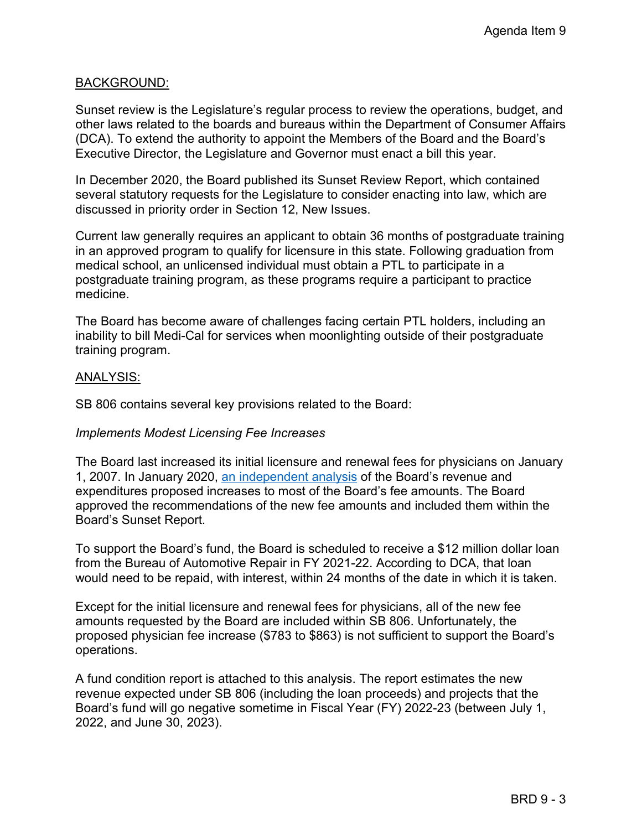#### BACKGROUND:

 Executive Director, the Legislature and Governor must enact a bill this year. Sunset review is the Legislature's regular process to review the operations, budget, and other laws related to the boards and bureaus within the Department of Consumer Affairs (DCA). To extend the authority to appoint the Members of the Board and the Board's

In December 2020, the Board published its Sunset Review Report, which contained several statutory requests for the Legislature to consider enacting into law, which are discussed in priority order in Section 12, New Issues.

Current law generally requires an applicant to obtain 36 months of postgraduate training in an approved program to qualify for licensure in this state. Following graduation from medical school, an unlicensed individual must obtain a PTL to participate in a postgraduate training program, as these programs require a participant to practice medicine.

The Board has become aware of challenges facing certain PTL holders, including an inability to bill Medi-Cal for services when moonlighting outside of their postgraduate training program.

#### ANALYSIS:

SB 806 contains several key provisions related to the Board:

#### *Implements Modest Licensing Fee Increases*

 approved the recommendations of the new fee amounts and included them within the The Board last increased its initial licensure and renewal fees for physicians on January 1, 2007. In January 2020, [an independent analysis](https://www.mbc.ca.gov/About/Meetings/Material/31223/brd-AgendaItem7-20200130.pdf) of the Board's revenue and expenditures proposed increases to most of the Board's fee amounts. The Board Board's Sunset Report.

To support the Board's fund, the Board is scheduled to receive a \$12 million dollar loan from the Bureau of Automotive Repair in FY 2021-22. According to DCA, that loan would need to be repaid, with interest, within 24 months of the date in which it is taken.

 proposed physician fee increase (\$783 to \$863) is not sufficient to support the Board's Except for the initial licensure and renewal fees for physicians, all of the new fee amounts requested by the Board are included within SB 806. Unfortunately, the operations.

 A fund condition report is attached to this analysis. The report estimates the new revenue expected under SB 806 (including the loan proceeds) and projects that the Board's fund will go negative sometime in Fiscal Year (FY) 2022-23 (between July 1, 2022, and June 30, 2023).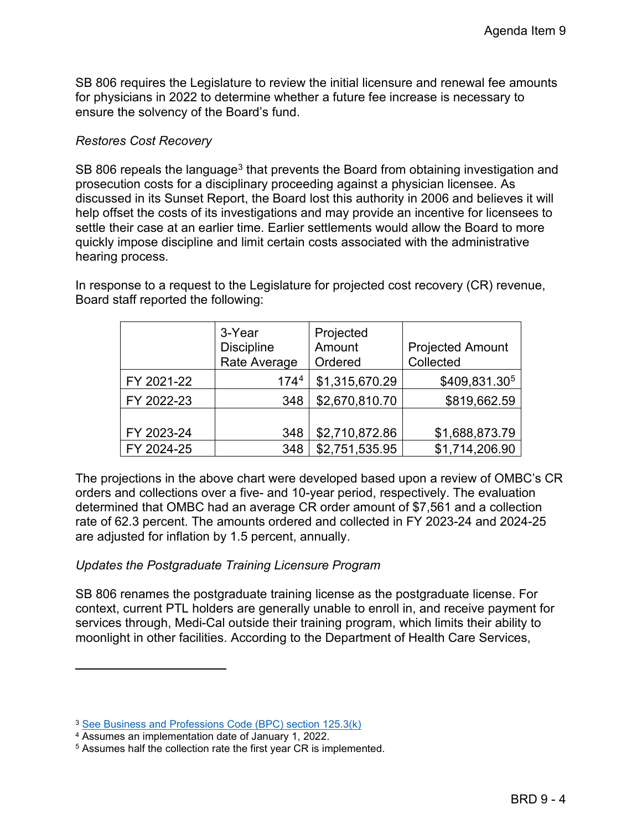ensure the solvency of the Board's fund. SB 806 requires the Legislature to review the initial licensure and renewal fee amounts for physicians in 2022 to determine whether a future fee increase is necessary to

#### *Restores Cost Recovery*

SB 806 repeals the language $^3$  that prevents the Board from obtaining investigation and prosecution costs for a disciplinary proceeding against a physician licensee. As discussed in its Sunset Report, the Board lost this authority in 2006 and believes it will help offset the costs of its investigations and may provide an incentive for licensees to settle their case at an earlier time. Earlier settlements would allow the Board to more quickly impose discipline and limit certain costs associated with the administrative hearing process.

In response to a request to the Legislature for projected cost recovery (CR) revenue, Board staff reported the following:

|            | 3-Year<br><b>Discipline</b><br>Rate Average | Projected<br>Amount<br>Ordered | <b>Projected Amount</b><br>Collected |
|------------|---------------------------------------------|--------------------------------|--------------------------------------|
| FY 2021-22 | 174 <sup>4</sup>                            | \$1,315,670.29                 | \$409,831.305                        |
| FY 2022-23 | 348                                         | \$2,670,810.70                 | \$819,662.59                         |
| FY 2023-24 | 348                                         | \$2,710,872.86                 | \$1,688,873.79                       |
| FY 2024-25 | 348                                         | \$2,751,535.95                 | \$1,714,206.90                       |

 determined that OMBC had an average CR order amount of \$7,561 and a collection The projections in the above chart were developed based upon a review of OMBC's CR orders and collections over a five- and 10-year period, respectively. The evaluation rate of 62.3 percent. The amounts ordered and collected in FY 2023-24 and 2024-25 are adjusted for inflation by 1.5 percent, annually.

### *Updates the Postgraduate Training Licensure Program*

SB 806 renames the postgraduate training license as the postgraduate license. For context, current PTL holders are generally unable to enroll in, and receive payment for services through, Medi-Cal outside their training program, which limits their ability to moonlight in other facilities. According to the Department of Health Care Services,

<span id="page-3-0"></span><sup>3</sup> [See Business and Professions Code \(BPC\) section 125.3\(k\)](https://leginfo.legislature.ca.gov/faces/codes_displaySection.xhtml?sectionNum=125.3.&lawCode=BPC) 

<span id="page-3-1"></span><sup>4</sup> Assumes an implementation date of January 1, 2022.

<span id="page-3-2"></span><sup>5</sup> Assumes half the collection rate the first year CR is implemented.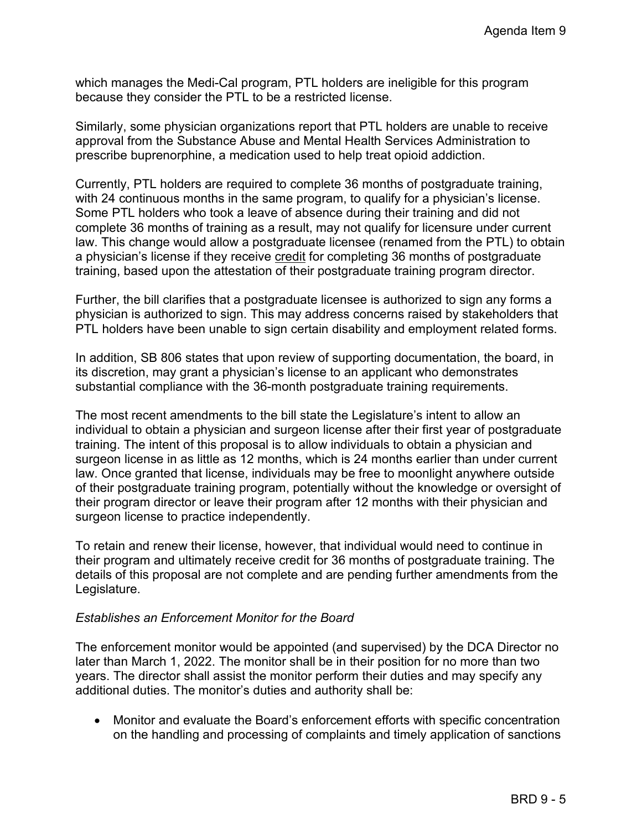because they consider the PTL to be a restricted license. which manages the Medi-Cal program, PTL holders are ineligible for this program

prescribe buprenorphine, a medication used to help treat opioid addiction. Similarly, some physician organizations report that PTL holders are unable to receive approval from the Substance Abuse and Mental Health Services Administration to

prescribe buprenorphine, a medication used to help treat opioid addiction.<br>Currently, PTL holders are required to complete 36 months of postgraduate training, with 24 continuous months in the same program, to qualify for a physician's license. Some PTL holders who took a leave of absence during their training and did not complete 36 months of training as a result, may not qualify for licensure under current law. This change would allow a postgraduate licensee (renamed from the PTL) to obtain a physician's license if they receive credit for completing 36 months of postgraduate training, based upon the attestation of their postgraduate training program director.

 physician is authorized to sign. This may address concerns raised by stakeholders that Further, the bill clarifies that a postgraduate licensee is authorized to sign any forms a PTL holders have been unable to sign certain disability and employment related forms.

In addition, SB 806 states that upon review of supporting documentation, the board, in its discretion, may grant a physician's license to an applicant who demonstrates substantial compliance with the 36-month postgraduate training requirements.

 training. The intent of this proposal is to allow individuals to obtain a physician and their program director or leave their program after 12 months with their physician and The most recent amendments to the bill state the Legislature's intent to allow an individual to obtain a physician and surgeon license after their first year of postgraduate surgeon license in as little as 12 months, which is 24 months earlier than under current law. Once granted that license, individuals may be free to moonlight anywhere outside of their postgraduate training program, potentially without the knowledge or oversight of surgeon license to practice independently.

 To retain and renew their license, however, that individual would need to continue in their program and ultimately receive credit for 36 months of postgraduate training. The details of this proposal are not complete and are pending further amendments from the Legislature.

#### *Establishes an Enforcement Monitor for the Board*

 years. The director shall assist the monitor perform their duties and may specify any The enforcement monitor would be appointed (and supervised) by the DCA Director no later than March 1, 2022. The monitor shall be in their position for no more than two additional duties. The monitor's duties and authority shall be:

 on the handling and processing of complaints and timely application of sanctions • Monitor and evaluate the Board's enforcement efforts with specific concentration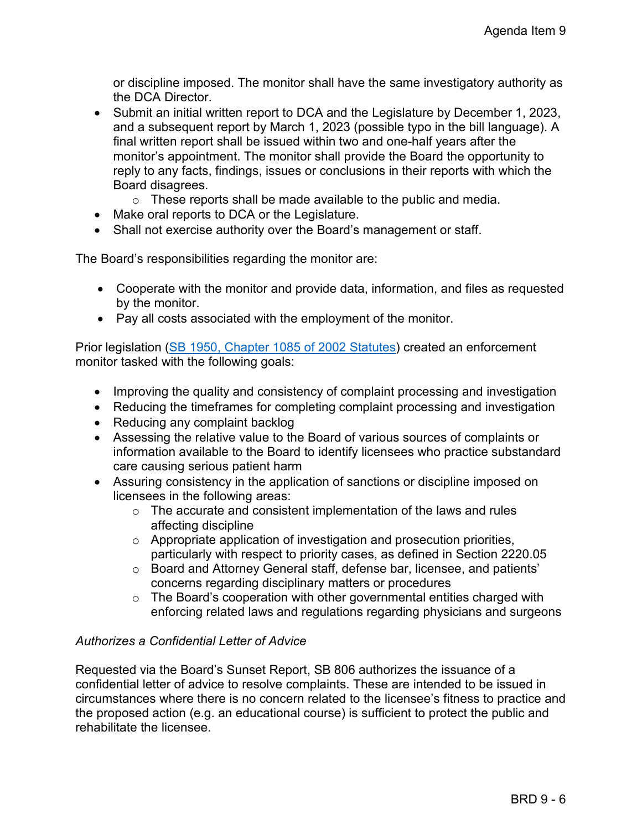or discipline imposed. The monitor shall have the same investigatory authority as the DCA Director.

- Submit an initial written report to DCA and the Legislature by December 1, 2023, and a subsequent report by March 1, 2023 (possible typo in the bill language). A final written report shall be issued within two and one-half years after the monitor's appointment. The monitor shall provide the Board the opportunity to reply to any facts, findings, issues or conclusions in their reports with which the Board disagrees.
	- $\circ$  These reports shall be made available to the public and media.
- Make oral reports to DCA or the Legislature.
- Shall not exercise authority over the Board's management or staff.

The Board's responsibilities regarding the monitor are:

- • Cooperate with the monitor and provide data, information, and files as requested by the monitor.
- Pay all costs associated with the employment of the monitor.

Prior legislation [\(SB 1950, Chapter 1085 of 2002 Statutes\)](https://leginfo.legislature.ca.gov/faces/billNavClient.xhtml?bill_id=200120020SB1950) created an enforcement monitor tasked with the following goals:

- Improving the quality and consistency of complaint processing and investigation
- Reducing the timeframes for completing complaint processing and investigation
- Reducing any complaint backlog
- • Assessing the relative value to the Board of various sources of complaints or information available to the Board to identify licensees who practice substandard care causing serious patient harm
- Assuring consistency in the application of sanctions or discipline imposed on licensees in the following areas:
	- $\circ$  The accurate and consistent implementation of the laws and rules affecting discipline
	- o Appropriate application of investigation and prosecution priorities, particularly with respect to priority cases, as defined in Section 2220.05
	- o Board and Attorney General staff, defense bar, licensee, and patients' concerns regarding disciplinary matters or procedures
	- o The Board's cooperation with other governmental entities charged with enforcing related laws and regulations regarding physicians and surgeons

### *Authorizes a Confidential Letter of Advice*

Requested via the Board's Sunset Report, SB 806 authorizes the issuance of a confidential letter of advice to resolve complaints. These are intended to be issued in circumstances where there is no concern related to the licensee's fitness to practice and the proposed action (e.g. an educational course) is sufficient to protect the public and rehabilitate the licensee.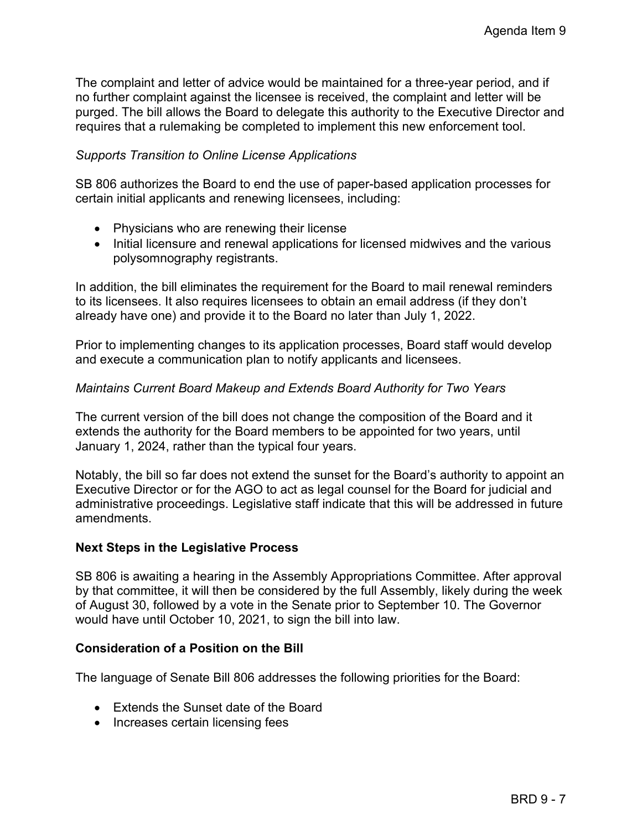The complaint and letter of advice would be maintained for a three-year period, and if no further complaint against the licensee is received, the complaint and letter will be purged. The bill allows the Board to delegate this authority to the Executive Director and requires that a rulemaking be completed to implement this new enforcement tool.

#### *Supports Transition to Online License Applications*

SB 806 authorizes the Board to end the use of paper-based application processes for certain initial applicants and renewing licensees, including:

- Physicians who are renewing their license
- Initial licensure and renewal applications for licensed midwives and the various polysomnography registrants.

 to its licensees. It also requires licensees to obtain an email address (if they don't In addition, the bill eliminates the requirement for the Board to mail renewal reminders already have one) and provide it to the Board no later than July 1, 2022.

 and execute a communication plan to notify applicants and licensees. Prior to implementing changes to its application processes, Board staff would develop

#### *Maintains Current Board Makeup and Extends Board Authority for Two Years*

The current version of the bill does not change the composition of the Board and it extends the authority for the Board members to be appointed for two years, until January 1, 2024, rather than the typical four years.

 Notably, the bill so far does not extend the sunset for the Board's authority to appoint an Executive Director or for the AGO to act as legal counsel for the Board for judicial and administrative proceedings. Legislative staff indicate that this will be addressed in future amendments.

#### **Next Steps in the Legislative Process**

SB 806 is awaiting a hearing in the Assembly Appropriations Committee. After approval by that committee, it will then be considered by the full Assembly, likely during the week of August 30, followed by a vote in the Senate prior to September 10. The Governor would have until October 10, 2021, to sign the bill into law.

#### **Consideration of a Position on the Bill**

The language of Senate Bill 806 addresses the following priorities for the Board:

- Extends the Sunset date of the Board
- Increases certain licensing fees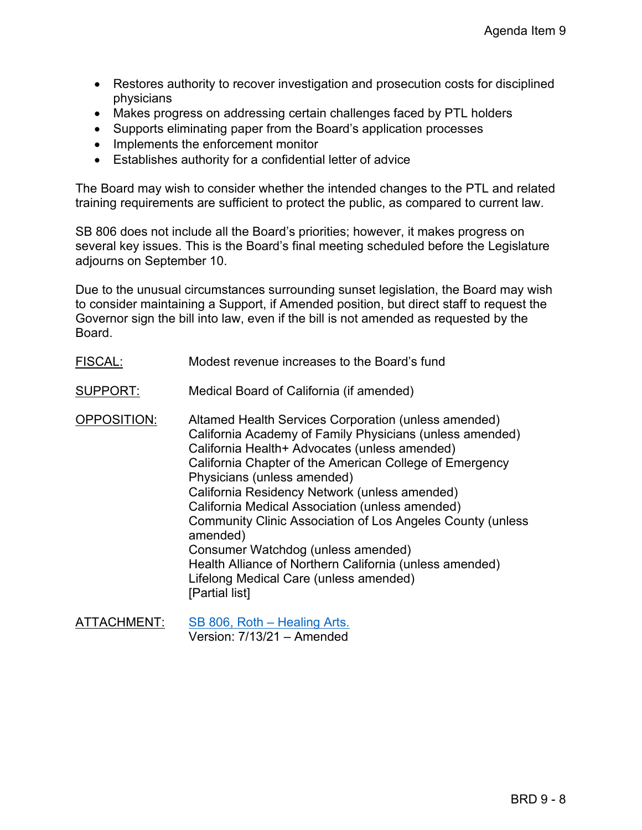- Restores authority to recover investigation and prosecution costs for disciplined physicians
- Makes progress on addressing certain challenges faced by PTL holders
- Supports eliminating paper from the Board's application processes
- Implements the enforcement monitor
- Establishes authority for a confidential letter of advice

The Board may wish to consider whether the intended changes to the PTL and related training requirements are sufficient to protect the public, as compared to current law.

 SB 806 does not include all the Board's priorities; however, it makes progress on several key issues. This is the Board's final meeting scheduled before the Legislature adjourns on September 10.

 to consider maintaining a Support, if Amended position, but direct staff to request the Due to the unusual circumstances surrounding sunset legislation, the Board may wish Governor sign the bill into law, even if the bill is not amended as requested by the Board.

FISCAL: Modest revenue increases to the Board's fund

SUPPORT: Medical Board of California (if amended)

 California Health+ Advocates (unless amended) California Residency Network (unless amended) Community Clinic Association of Los Angeles County (unless OPPOSITION: Altamed Health Services Corporation (unless amended) California Academy of Family Physicians (unless amended) California Chapter of the American College of Emergency Physicians (unless amended) California Medical Association (unless amended) amended) Consumer Watchdog (unless amended) Health Alliance of Northern California (unless amended) Lifelong Medical Care (unless amended) [Partial list]

ATTACHMENT: [SB 806, Roth – Healing Arts.](https://leginfo.legislature.ca.gov/faces/billNavClient.xhtml?bill_id=202120220SB806)  Version: 7/13/21 – Amended